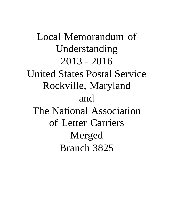Local Memorandum of Understanding 2013 - 2016 United States Postal Service Rockville, Maryland and The National Association of Letter Carriers Merged Branch 3825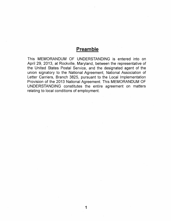# **Preamble**

This MEMORANDUM OF UNDERSTANDING is entered into on April 29, 2013, at Rockville, Maryland, between the representative of the United States Postal Service, and the designated agent of the union signatory to the National Agreement, National Association of Letter Carriers, Branch 3825, pursuant to the Local Implementation Provision of the 2013 National Agreement. This MEMORANDUM OF UNDERSTANDIING constitutes the entire agreement on matters relating to local conditions of employment.

1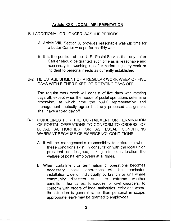## **Article XXX- LOCAL IMPLEMENTATION**

#### B-1 ADDITIONAL OR LONGER WASHUP PERIODS.

- A. Article VIII, Section 9, provides reasonable washup time for a Letter Carrier who performs dirty work.
- B. It is the position of the U. S. Postal Service that any Letter Carrier should be granted such time as is reasonable and necessary for washing up after performing dirty work or incident to personal needs as currently established.

#### B-2 THE ESTABLISHMENT OF A REGULAR WORK WEEK OF FIVE DAYS WITH EITHER FIXED OR ROTATING DAYS OFF.

The regular work week will consist of five days with rotating days off, except when the needs of postal operations determine otherwise, at which time the NALC representative and management mutually agree that any proposed assignment shall have a fixed day off.

- B-3 GUIDELINES FOR THE CURTAILMENT OR TERMINATION OF POSTAL OPERATIONS TO CONFORM TO ORDERS OF LOCAL AUTHORITIES OR AS LOCAL CONDITIONS WARRANT BECAUSE OF EMERGENCY CONDITIONS.
	- A. It will be management's responsibility to determine when these conditions exist, in consultation with the local union president or designee, taking into consideration the welfare of postal employees at all times.
	- B. When curtailment or termination of operations becomes necessary, postal operations will be terminated installation-wide or individually by branch or unit where community disasters such as extreme weather conditions, hurricanes, tornadoes, or civil disorders, to conform with orders of local authorities, exist and where the situation is general rather than personal in scope, appropriate leave may be granted to employees.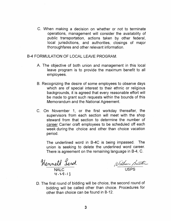C. When making a decision on whether or not to terminate operations, management will consider the availability of public transportation, actions taken by other federal, local jurisdictions, and authorities, closings of major thoroughfares and other relevant information.

8-4 FORMULATION OF LOCAL LEAVE PROGRAM.

- A. The objective of both union and management in this local leave program is to provide the maximum benefit to all employees.
- 8. Recognizing the desire of some employees to observe days which are of special interest to their ethnic or religious backgrounds, it is agreed that every reasonable effort will be made to grant such requests within the bounds of this Memorandum and the National Agreement.
- C. On November 1, or the first workday thereafter, the supervisors from each section will meet with the shop steward from that section to determine the number of career Carrier craft employees to be scheduled off each week during the choice and other than choice vacation period.

The underlined word in 8-4C is being impassed. The union is seeking to delete the underlined word career. There is agreement on the remaining language in 8-4, C.

mere is agreement on the remaining language in D-4, 0.<br>Menneth Sereh */Villear Bauter* 

Lf *,').,q* ~ 13

NALC USPS

D. The first round of bidding will be choice, the second round of bidding will be called other than choice. Procedures for other than choice can be found in 8-12.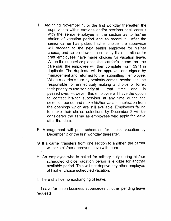- E. Beginning November 1, or the first workday thereafter, the supervisors within stations and/or sections shall consult with the senior employee in the section as to his/her choice of vacation period and so record it. After the senior carrier has picked his/her choice, the supervisor will proceed to the next senior employee for his/her choice, and so on down the seniority list until all carrier craft employees have made choices for vacation leave. When the supervisor places the carrier's name on the calendar, the employee will then complete Form 3971 in duplicate. The duplicate will be approved and signed by management and returned to the submitting employee. When a carrier's turn by seniority comes, he/she shall be responsible for immediately making a choice or forfeit their priority to use seniority at that time and is passed over. However, this employee will have the option to contact his/her supervisor at any time during the selection period and make his/her vacation selection from the openings which are still available. Employees failing to make their choice selections by December 2 will be considered the same as employees who apply for leave after that date.
- F. Management will post schedules for choice vacation by December 2 or the first workday thereafter.
- G. If a carrier transfers from one section to another, the carrier will take his/her approved leave with them.
- H. An employee who is called for military duty during his/her scheduled choice vacation period is eligible for another available period. This will not deprive any other employee of his/her choice scheduled vacation.

I. There shall be no exchanging of leave.

J. Leave for union business supersedes all other pending leave requests.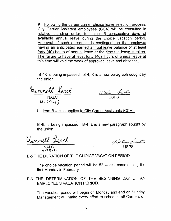K. Following the career carrier choice leave selection process, City Carrier Assistant employees (CCA) will be consulted in relative standing order, to select 5 consecutive days of available annual leave during the choice vacation period. Approval of such a request is contingent on the employee having an anticipated earned annual leave balance of at least forty (40) hours of annual leave at the time the leave is taken. The failure to have at least forty (40) hours of annual leave at this time will void the week of approved leave and absence.

8-4K is being impassed. 8-4, K is a new paragraph sought by the union.

Henneth Lerch Willen Bautis

 $4 - 29 - 13$ 

L. Item 8-4 also applies to City Carrier Assistants (CCA).

8-4L is being impassed. 8-4, L is a new paragraph sought by the union.

*4,1.'1-'3* 

William Battler NALC USPS

8-5 THE DURATION OF THE CHOICE VACATION PERIOD.

The choice vacation period will be 52 weeks commencing the first Monday in February.

8-6 THE DETERMINATION OF THE 8EGINNING DAY OF AN EMPLOYEE'S VACATION PERIOD.

The vacation period will begin on Monday and end on Sunday. Management will make every effort to schedule all Carriers off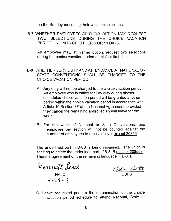on the Sunday preceding their vacation selections.

8-7 WHETHER EMPLOYEES AT THEIR OPTION MAY REQUEST TWO SELECTIONS DURING THE CHOICE VACATION PERIOD, IN UNITS OF EITHER 5 OR 10 DAYS.

An employee may, at his/her option, request two selections during the choice vacation period on his/her first choice.

- 8-8 WHETHER JURY DUTY AND ATTENDANCE AT NATIONAL OR STATE CONVENTIONS SHALL 8E CHARGED TO THE CHOICE VACATION PERIOD.
	- A. Jury duty will not be charged to the choice vacation period. An employee who is called for jury duty during his/her scheduled choice vacation period will be granted another period within the choice vacation period in accordance with Article 10 Section 3F of the National Agreement, provided they cancel the remaining approved annual leave for the week.
	- B. For the week of National or State Conventions, one employee per section will not be counted against the number of employees to receive leave, except 20855.

The underlined part in 8-88 is being impassed. The union is seeking to delete the underlined part of B-8, B (except 20855). There is agreement on the remaining language in 8-8, 8.

Henneth Level  $4 - 29 - 13$ 

William Battle

C. Leave requested prior to the determination of the choice vacation period schedule to attend National, State or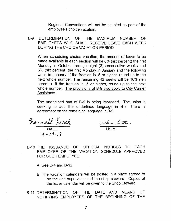Regional Conventions will not be counted as part of the employee's choice vacation.

B-9 DETERMINATION OF THE MAXIMUM NUMBER OF EMPLOYEES WHO SHALL RECEIVE LEAVE EACH WEEK DURING THE CHOICE VACATION PERIOD.

When scheduling choice vacation, the amount of leave to be made available in each section will be 6% (six percent) the first Monday in October through eight (8) consecutive weeks and 6% (six percent) the first Monday in January and the following week in January. If the fraction is .5 or higher, round up to the next whole number. The remaining 42 weeks will be 10% (ten percent). If the fraction is .5 or higher, round up to the next whole number. The provisions of B-9 also apply to City Carrier Assistants.

The underlined part of 8-9 is being impassed. The union is seeking to add the underlined language in 8-9. There is agreement on the remaining language in 8-9.

NALC USPS 4 - 29 - 13

Willen Bauter

8-10 THE ISSUANCE OF OFFICIAL NOTICES TO EACH EMPLOYEE OF THE VACATION SCHEDULE APPROVED FOR SUCH EMPLOYEE.

A. See 8-4 and 8-12.

- B. The vacation calendars will be posted in a place agreed to by the unit supervisor and the shop steward. Copies of the leave calendar will be given to the Shop Steward.
- B-11 DETERMINATION OF THE DATE AND MEANS OF NOTIFYING EMPLOYEES OF THE BEGINNING OF THE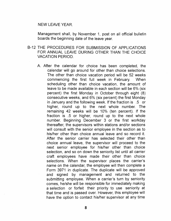#### NEW LEAVE YEAR.

Management shall, by November 1, post on all official bulletin boards the beginning date of the leave year.

- B-12 THE PROCEDURES FOR SUBMISSION OF APPLICATIONS FOR ANNUAL LEAVE DURING OTHER THAN THE CHOICE VACATION PERIOD.
	- A. After the calendar for choice has been completed, the calendar will go around for other than choice selections. The other than choice vacation period will be 52 weeks commencing the first full week in February. When scheduling other than choice vacation, the amount of leave to be made available in each section will be 6% (six percent) the first Monday in October through eight (8) consecutive weeks, and 6% (six percent) the first Monday in January and the following week. If the fraction is .5 or higher, round up to the next whole number. The remaining 42 weeks will be 10% (ten percent). If the fraction is .5 or higher, round up to the next whole number. Beginning December 3 or the first workday thereafter, the supervisors within stations and/or sections will consult with the senior employee in the section as to his/her other than choice annual leave and so record it. After the senior carrier has selected their other than choice annual leave, the supervisor will proceed to the next senior employee for his/her other than choice selection, and so on down the seniority list until all carrier craft employees have made their other than choice selections. When the supervisor places the carrier's name on the calendar, the employee will then complete a Form 3971 in duplicate. The duplicate will be approved and signed by management and returned to the submitting employee. When a carrier's turn by seniority comes, he/she will be responsible for immediately making a selection or forfeit their priority to use seniority at that time and is passed over. However, this employee will have the option to contact his/her supervisor at any time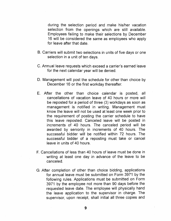during the selection period and make his/her vacation selection from the openings which are still available. Employees failing to make their selections by December 16 will be considered the same as employees who apply for leave after that date.

- B. Carriers will submit two selections in units of five days or one selection in a unit of ten days.
- C. Annual leave requests which exceed a carrier's earned leave for the next calendar year will be denied.
- D. Management will post the schedule for other than choice by December 16 or the first workday thereafter.
- E. After the other than choice calendar is posted, all cancellations of vacation leave of 40 hours or more will be reposted for a period of three (3) workdays as soon as management is notified in writing. Management must know the leave will not be used at least one week prior to the requirement of posting the carrier schedule to have this leave reposted. Canceled leave will be posted in increments of 40 hours. The canceled period will be awarded by seniority in increments of 40 hours. The successful bidder will be notified within 72 hours. The successful bidder of a reposting must take or cancel leave in units of 40 hours.
- F. Cancellations of less than 40 hours of leave must be done in writing at least one day in advance of the leave to be canceled.
- G. After completion of other than choice bidding, applications for annual leave must be submitted on Form 3971 by the following rules. Applications must be submitted on Form 3971 by the employee not more than 90 days before the requested leave date. The employee will physically hand the leave application to the supervisor in charge. The supervisor, upon receipt, shall initial all three copies and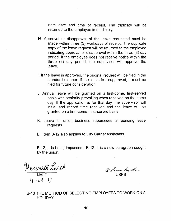note date and time of receipt. The triplicate will be returned to the employee immediately.

- H. Approval or disapproval of the leave requested must be made within three (3) workdays of receipt. The duplicate copy of the leave request will be returned to the employee indicating approval or disapproval within the three (3) day period. If the employee does not receive notice within the three (3) day period, the supervisor will approve the leave.
- I. If the leave is approved, the original request will be filed in the standard manner. If the leave is disapproved, it must be filed for future consideration.
- J. Annual leave will be granted on a first-come, first-served basis with seniority prevailing when received on the same day. If the application is for that day, the supervisor will initial and record time received and the leave will be granted on a first-come, first-served basis.
- K. Leave for union business supersedes all pending leave requests.
- L. Item 8-12 also applies to City Carrier Assistants.

8-12, L is being impassed. 8-12, L is a new paragraph sought by the union.

'1-LQ-J)

William Battle NALC USPS

8-13 THE METHOD OF SELECTING EMPLOYEES TO WORK ON A HOLIDAY.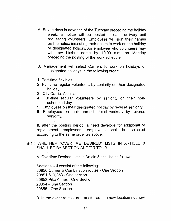- A. Seven days in advance of the Tuesday preceding the holiday week, a notice will be posted in each delivery unit requesting volunteers. Employees will sign their names on the notice indicating their desire to work on the holiday or designated holiday. An employee who volunteers may withdraw his/her name by 10:00 a.m. on Monday preceding the posting of the work schedule.
- B. Management will select Carriers to work on holidays or designated holidays in the following order:
- 1. Part-time flexibles.
- 2. Full-time regular volunteers by seniority on their designated holiday.
- 3. City Carrier Assistants.
- 4. Full-time regular volunteers by seniority on their nonscheduled day.
- 5. Employees on their designated holiday by reverse seniority.
- 6. Employees on their non-scheduled workday by reverse seniority.

If, after the posting period, a need develops for additional or replacement employees, employees shall be selected according to the same order as above.

8-14 WHETHER "OVERTIME DESIRED" LISTS IN ARTICLE 8 SHALL BE BY SECTION AND/OR TOUR.

A. Overtime Desired Lists in Article 8 shall be as follows:

Sections will consist of the following: 20850-Carrier & Combination routes - One Section 20851 & 20853 - One section 20852 Pike Annex - One Section 20854 - One Section 20855 - One Section

B. In the event routes are transferred to a new location not now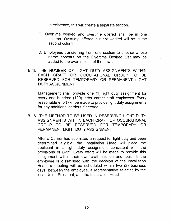in existence, this will create a separate section.

- C. Overtime worked and overtime offered shall be in one column. Overtime offered but not worked will be in the second column.
- D. Employees transferring from one section to another whose name appears on the Overtime Desired List may be added to the overtime list of the new unit.
- B-15 THE NUMBER OF LIGHT DUTY ASSIGNMENTS WITHIN EACH CRAFT OR OCCUPATIONAL GROUP TO BE RESERVED FOR TEMPORARY OR PERMANENT LIGHT DUTY ASSIGNMENT.

Management shall provide one (1) light duty assignment for every one hundred (100) letter carrier craft employees. Every reasonable effort will be made to provide light duty assignments for any additional carriers if needed.

B-16 THE METHOD TO BE USED IN RESERVING LIGHT DUTY ASSIGNMENTS WITHIN EACH CRAFT OR OCCUPATIONAL GROUP TO BE RESERVED FOR TEMPORARY OR PERMANENT LIGHT DUTY ASSIGNMENT.

After a Carrier has submitted a request for light duty and been determined eligible, the Installation Head will place the applicant in a light duty assignment consistent with the provisions of 8-15. Every effort will be made to provide this assignment within their own craft, section and tour. If the employee is dissatisfied with the decision of the Installation Head, a meeting will be scheduled within two (2) business days, between the employee, a representative selected by the local Union President, and the Installation Head.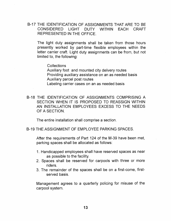## 8-17 THE IDENTIFICATION OF ASSIGNMENTS THAT ARE TO BE CONSIDERED LIGHT DUTY WITHIN EACH CRAFT REPRESENTED IN THE OFFICE.

The light duty assignments shall be taken from those hours presently worked by part-time flexible employees within the letter carrier craft. Light duty assignments can be from, but not limited to, the following:

**Collections** 

Auxiliary foot and mounted city delivery routes Providing auxiliary assistance on an as needed basis Auxiliary parcel post routes

Labeling carrier cases on an as needed basis

8-18 THE IDENTIFICATION OF ASSIGNMENTS COMPRISING A SECTION WHEN IT IS PROPOSED TO REASSIGN WITHIN AN INSTALLATION EMPLOYEES EXCESS TO THE NEEDS OF A SECTION.

The entire installation shall comprise a section.

8-19 THE ASSIGNMENT OF EMPLOYEE PARKING SPACES.

After the requirements of Part 124 of the M-39 have been met, parking spaces shall be allocated as follows:

- 1. Handicapped employees shall have reserved spaces as near as possible to the facility.
- 2. Spaces shall be reserved for carpools with three or more riders.
- 3. The remainder of the spaces shall be on a first-come, firstserved basis.

Management agrees to a quarterly policing for misuse of the carpool system.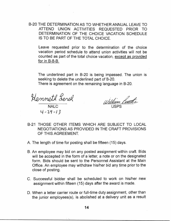B-20 THE DETERMINATION AS TO WHETHER ANNUAL LEAVE TO ATTEND UNION ACTIVITIES REQUESTED PRIOR TO DETERMINATION OF THE CHOICE VACATION SCHEDULE IS TO BE PART OF THE TOTAL CHOICE.

Leave requested prior to the determination of the choice vacation period schedule to attend union activities will not be counted as part of the total choice vacation, except as provided for in B-8-B.

The underlined part in B-20 is being impassed. The union is seeking to delete the underlined part of 8-20. There is agreement on the remaining language in B-20.

NALC  $4 - 29 - 13$ 

William Practic

- B-21 THOSE OTHER ITEMS WHICH ARE SUBJECT TO LOCAL NEGOTIATIONS AS PROVIDED IN THE CRAFT PROVISIONS OF THIS AGREEMENT.
- A. The length of time for posting shall be fifteen (15) days.
- B. An employee may bid on any posted assignment within craft. Bids will be accepted in the form of a letter, a note or on the designated form. Bids should be sent to the Personnel Assistant at the Main Office. An employee may withdraw his/her bid any time prior to the close of posting.
- C. Successful bidder shall be scheduled to work on his/her new assignment within fifteen (15) days after the award is made.
- D. When a letter carrier route or full-time duty assignment, other than the junior employees(s), is abolished at a delivery unit as a result